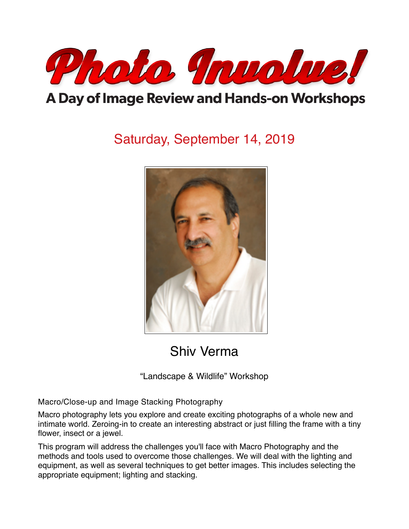

# A Day of Image Review and Hands-on Workshops

# Saturday, September 14, 2019



Shiv Verma

"Landscape & Wildlife" Workshop

Macro/Close-up and Image Stacking Photography

Macro photography lets you explore and create exciting photographs of a whole new and intimate world. Zeroing-in to create an interesting abstract or just filling the frame with a tiny flower, insect or a jewel.

This program will address the challenges you'll face with Macro Photography and the methods and tools used to overcome those challenges. We will deal with the lighting and equipment, as well as several techniques to get better images. This includes selecting the appropriate equipment; lighting and stacking.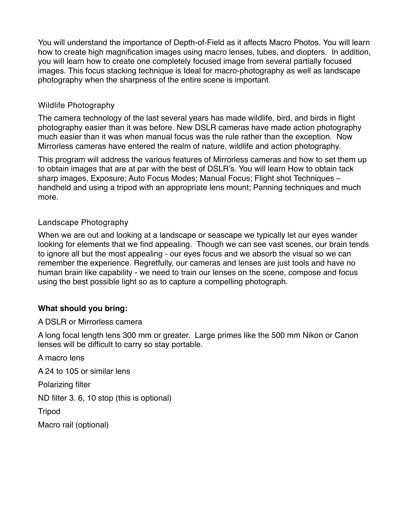You will understand the importance of Depth-of-Field as it affects Macro Photos. You will learn how to create high magnification images using macro lenses, tubes, and diopters. In addition, you will learn how to create one completely focused image from several partially focused images. This focus stacking technique is Ideal for macro-photography as well as landscape photography when the sharpness of the entire scene is important.

#### Wildlife Photography

The camera technology of the last several years has made wildlife, bird, and birds in flight photography easier than it was before. New DSLR cameras have made action photography much easier than it was when manual focus was the rule rather than the exception. Now Mirrorless cameras have entered the realm of nature, wildlife and action photography.

This program will address the various features of Mirrorless cameras and how to set them up to obtain images that are at par with the best of DSLR's. You will learn How to obtain tack sharp images, Exposure; Auto Focus Modes; Manual Focus; Flight shot Techniques – handheld and using a tripod with an appropriate lens mount; Panning techniques and much more.

### Landscape Photography

When we are out and looking at a landscape or seascape we typically let our eyes wander looking for elements that we find appealing. Though we can see vast scenes, our brain tends to ignore all but the most appealing - our eyes focus and we absorb the visual so we can remember the experience. Regretfully, our cameras and lenses are just tools and have no human brain like capability - we need to train our lenses on the scene, compose and focus using the best possible light so as to capture a compelling photograph.

### **What should you bring:**

A DSLR or Mirrorless camera

A long focal length lens 300 mm or greater. Large primes like the 500 mm Nikon or Canon lenses will be difficult to carry so stay portable.

A macro lens A 24 to 105 or similar lens Polarizing filter ND filter 3. 6, 10 stop (this is optional) Tripod Macro rail (optional)